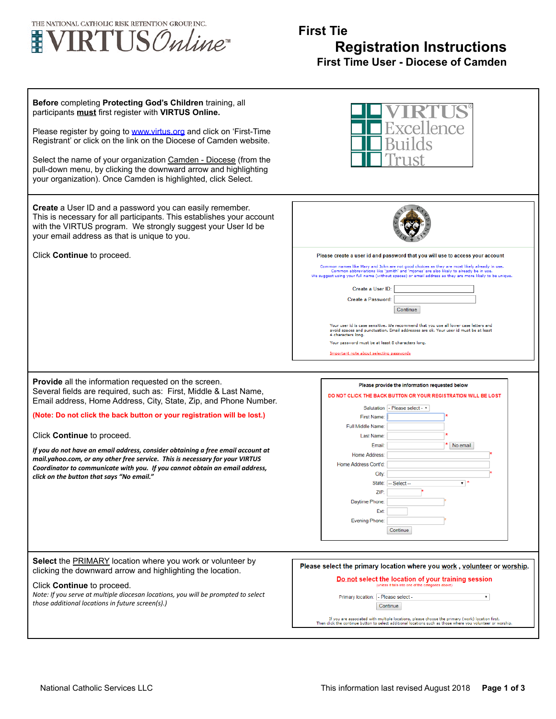

## **First Tie Registration Instructions First Time User - Diocese of Camden**

| Before completing Protecting God's Children training, all<br>participants must first register with VIRTUS Online.<br>Please register by going to <b>www.virtus.org</b> and click on 'First-Time<br>Registrant' or click on the link on the Diocese of Camden website.<br>Select the name of your organization Camden - Diocese (from the<br>pull-down menu, by clicking the downward arrow and highlighting<br>your organization). Once Camden is highlighted, click Select. | ellence                                                                                                                                                                                                                                                                                                                                                                                                                                                                                                                                                                                                                                                       |
|------------------------------------------------------------------------------------------------------------------------------------------------------------------------------------------------------------------------------------------------------------------------------------------------------------------------------------------------------------------------------------------------------------------------------------------------------------------------------|---------------------------------------------------------------------------------------------------------------------------------------------------------------------------------------------------------------------------------------------------------------------------------------------------------------------------------------------------------------------------------------------------------------------------------------------------------------------------------------------------------------------------------------------------------------------------------------------------------------------------------------------------------------|
| Create a User ID and a password you can easily remember.<br>This is necessary for all participants. This establishes your account<br>with the VIRTUS program. We strongly suggest your User Id be<br>your email address as that is unique to you.<br>Click Continue to proceed.                                                                                                                                                                                              | Please create a user id and password that you will use to access your account                                                                                                                                                                                                                                                                                                                                                                                                                                                                                                                                                                                 |
|                                                                                                                                                                                                                                                                                                                                                                                                                                                                              | Common names like Mary and John are not good choices as they are most likely already in use.<br>Common abbreviations like 'jsmith' and 'mjones' are also likely to already be in use.<br>We suggest using your full name (without spaces) or email address as they are more likely to be unique.<br>Create a User ID:<br>Create a Password:<br>Continue<br>Your user id is case sensitive. We recommend that you use all lower case letters and<br>avoid spaces and punctuation. Email addresses are ok. Your user id must be at least<br>4 characters long.<br>Your password must be at least 8 characters long.<br>Important note about selecting passwords |
| <b>Provide</b> all the information requested on the screen.<br>Several fields are required, such as: First, Middle & Last Name,<br>Email address, Home Address, City, State, Zip, and Phone Number.                                                                                                                                                                                                                                                                          | Please provide the information requested below<br>DO NOT CLICK THE BACK BUTTON OR YOUR REGISTRATION WILL BE LOST                                                                                                                                                                                                                                                                                                                                                                                                                                                                                                                                              |
| (Note: Do not click the back button or your registration will be lost.)<br>Click Continue to proceed.                                                                                                                                                                                                                                                                                                                                                                        | Salutation - Please select - v<br>First Name:<br>Full Middle Name:<br>Last Name:                                                                                                                                                                                                                                                                                                                                                                                                                                                                                                                                                                              |
| If you do not have an email address, consider obtaining a free email account at<br>mail.yahoo.com, or any other free service. This is necessary for your VIRTUS<br>Coordinator to communicate with you. If you cannot obtain an email address,<br>click on the button that says "No email."                                                                                                                                                                                  | Email<br>No email<br>Home Address:<br>Home Address Cont'd:<br>City:<br>State:<br>-- Select --<br>▼ "<br>ZIP:<br>Daytime Phone:<br><b>Ext</b><br>Evening Phone:<br>Continue                                                                                                                                                                                                                                                                                                                                                                                                                                                                                    |
| Select the <b>PRIMARY</b> location where you work or volunteer by<br>clicking the downward arrow and highlighting the location.<br>Click Continue to proceed.<br>Note: If you serve at multiple diocesan locations, you will be prompted to select<br>those additional locations in future screen(s).)                                                                                                                                                                       | Please select the primary location where you work, yolunteer or worship.<br>Do not select the location of your training session<br>(unless it falls into one of the categories above)<br>Primary location:   - Please select -<br>$\mathbf{v}$<br>Continue<br>If you are associated with multiple locations, please choose the primary (work) location first.<br>Then click the continue button to select additional locations such as those where you volunteer or worship.                                                                                                                                                                                  |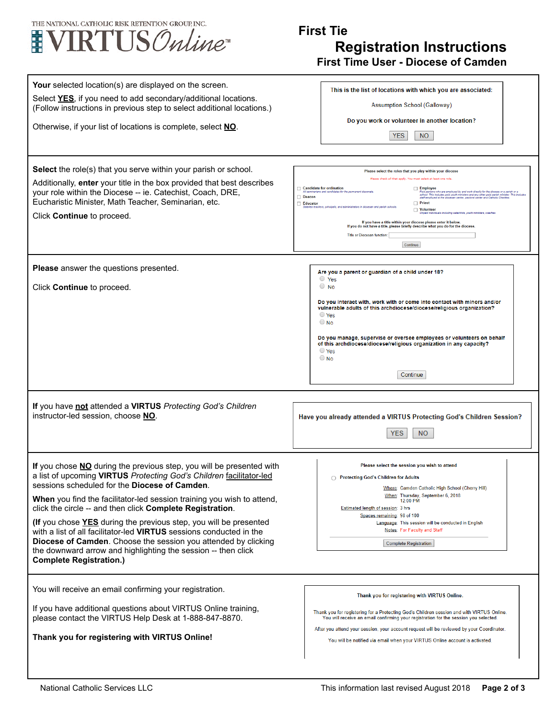

## **First Tie Registration Instructions First Time User - Diocese of Camden**

| <b>Your</b> selected location(s) are displayed on the screen.<br>Select YES, if you need to add secondary/additional locations.<br>(Follow instructions in previous step to select additional locations.)<br>Otherwise, if your list of locations is complete, select NO.<br>Select the role(s) that you serve within your parish or school.<br>Additionally, enter your title in the box provided that best describes<br>your role within the Diocese -- ie. Catechist, Coach, DRE,<br>Eucharistic Minister, Math Teacher, Seminarian, etc.<br>Click Continue to proceed.                                                                                          | This is the list of locations with which you are associated:<br>Assumption School (Galloway)<br>Do you work or volunteer in another location?<br><b>YES</b><br>N <sub>O</sub><br>Please select the roles that you play within your diocese<br>Please check all that apply. You must select at least one role<br>Candidate for ordination<br>Employee<br>Paid persons who are employed by and work directly for the diocese or a parish or<br>school. This includes paid youth ministers and any other paid parish minister. This i<br>staff employed at the diocesan center, pastoral center<br>All seminarians and candidates for the permanent diaconate<br>Deacon<br>Educator<br>$\Box$ Priest<br>alaried teachers, principals, and administrators in diocesan and parish school<br>Volunteer<br>Unpaid individuals including catechists, youth ministers, coaches<br>If you have a title within your diocese please enter it below.<br>If you do not have a title, please briefly describe what you do for the diocese. |
|---------------------------------------------------------------------------------------------------------------------------------------------------------------------------------------------------------------------------------------------------------------------------------------------------------------------------------------------------------------------------------------------------------------------------------------------------------------------------------------------------------------------------------------------------------------------------------------------------------------------------------------------------------------------|-----------------------------------------------------------------------------------------------------------------------------------------------------------------------------------------------------------------------------------------------------------------------------------------------------------------------------------------------------------------------------------------------------------------------------------------------------------------------------------------------------------------------------------------------------------------------------------------------------------------------------------------------------------------------------------------------------------------------------------------------------------------------------------------------------------------------------------------------------------------------------------------------------------------------------------------------------------------------------------------------------------------------------|
| Please answer the questions presented.                                                                                                                                                                                                                                                                                                                                                                                                                                                                                                                                                                                                                              | Title or Diocesan function:<br>Continue                                                                                                                                                                                                                                                                                                                                                                                                                                                                                                                                                                                                                                                                                                                                                                                                                                                                                                                                                                                     |
| Click Continue to proceed.                                                                                                                                                                                                                                                                                                                                                                                                                                                                                                                                                                                                                                          | Are you a parent or guardian of a child under 18?<br>$\circ$ Yes<br>$\circ$ No<br>Do you interact with, work with or come into contact with minors and/or<br>vulnerable adults of this archdiocese/diocese/religious organization?<br>$\bigcirc$ Yes<br>$\bigcirc$ No<br>Do you manage, supervise or oversee employees or volunteers on behalf<br>of this archdiocese/diocese/religious organization in any capacity?<br>$\bigcirc$ Yes<br>$\bigcirc$ No<br>Continue                                                                                                                                                                                                                                                                                                                                                                                                                                                                                                                                                        |
| If you have not attended a VIRTUS Protecting God's Children<br>instructor-led session, choose NO.                                                                                                                                                                                                                                                                                                                                                                                                                                                                                                                                                                   | Have you already attended a VIRTUS Protecting God's Children Session?<br><b>YES</b><br>N <sub>O</sub>                                                                                                                                                                                                                                                                                                                                                                                                                                                                                                                                                                                                                                                                                                                                                                                                                                                                                                                       |
| If you chose NO during the previous step, you will be presented with<br>a list of upcoming VIRTUS Protecting God's Children facilitator-led<br>sessions scheduled for the <b>Diocese of Camden</b> .<br>When you find the facilitator-led session training you wish to attend.<br>click the circle -- and then click Complete Registration.<br>(If you chose YES during the previous step, you will be presented<br>with a list of all facilitator-led VIRTUS sessions conducted in the<br><b>Diocese of Camden.</b> Choose the session you attended by clicking<br>the downward arrow and highlighting the session -- then click<br><b>Complete Registration.)</b> | Please select the session you wish to attend<br>◯ Protecting God's Children for Adults<br>Where: Camden Catholic High School (Cherry Hill)<br>When: Thursday, September 6, 2018<br>12:00 PM<br>Estimated length of session: 3 hrs<br>Spaces remaining: 98 of 100<br>Language: This session will be conducted in English<br>Notes: For Faculty and Staff<br><b>Complete Registration</b>                                                                                                                                                                                                                                                                                                                                                                                                                                                                                                                                                                                                                                     |
| You will receive an email confirming your registration.<br>If you have additional questions about VIRTUS Online training,<br>please contact the VIRTUS Help Desk at 1-888-847-8870.<br>Thank you for registering with VIRTUS Online!                                                                                                                                                                                                                                                                                                                                                                                                                                | Thank you for registering with VIRTUS Online.<br>Thank you for registering for a Protecting God's Children session and with VIRTUS Online.<br>You will receive an email confirming your registration for the session you selected.<br>After you attend your session, your account request will be reviewed by your Coordinator.<br>You will be notified via email when your VIRTUS Online account is activated.                                                                                                                                                                                                                                                                                                                                                                                                                                                                                                                                                                                                             |